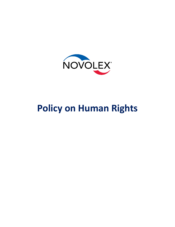

## **Policy on Human Rights**